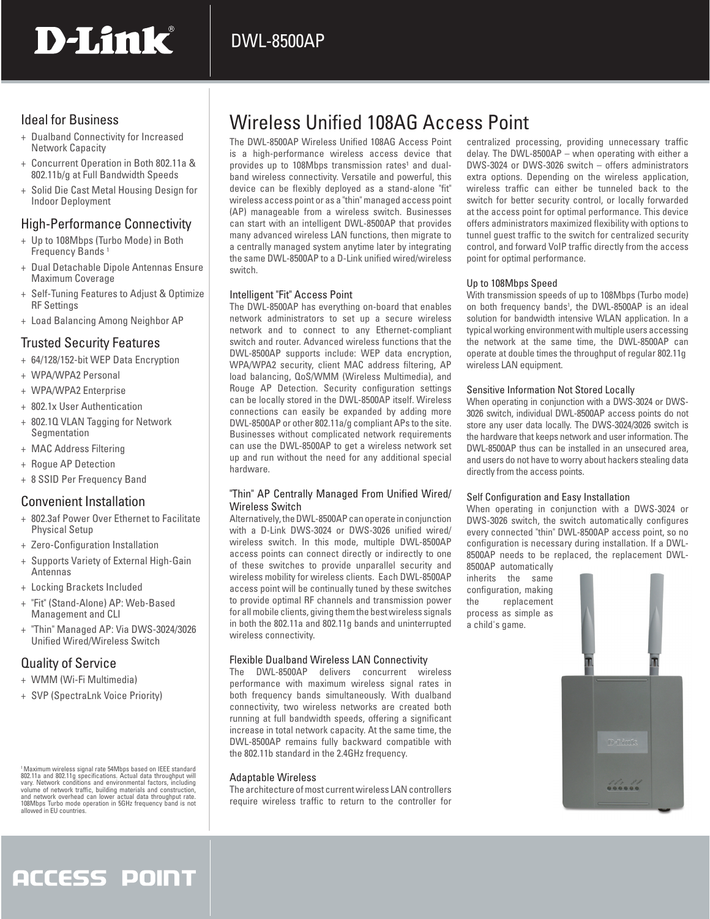# D-Link®

### Ideal for Business

- + Dualband Connectivity for Increased Network Capacity
- + Concurrent Operation in Both 802.11a & 802.11b/g at Full Bandwidth Speeds
- + Solid Die Cast Metal Housing Design for Indoor Deployment

### High-Performance Connectivity

- + Up to 108Mbps (Turbo Mode) in Both Frequency Bands<sup>1</sup>
- + Dual Detachable Dipole Antennas Ensure Maximum Coverage
- + Self-Tuning Features to Adjust & Optimize RF Settings
- + Load Balancing Among Neighbor AP

### Trusted Security Features

- + 64/128/152-bit WEP Data Encryption
- + WPA/WPA2 Personal
- + WPA/WPA2 Enterprise
- + 802.1x User Authentication
- + 802.1Q VLAN Tagging for Network Segmentation
- + MAC Address Filtering
- + Rogue AP Detection
- + 8 SSID Per Frequency Band

### Convenient Installation

- + 802.3af Power Over Ethernet to Facilitate Physical Setup
- + Zero-Configuration Installation
- + Supports Variety of External High-Gain Antennas
- + Locking Brackets Included
- + "Fit" (Stand-Alone) AP: Web-Based Management and CLI
- + "Thin" Managed AP: Via DWS-3024/3026 Unified Wired/Wireless Switch

### Quality of Service

- + WMM (Wi-Fi Multimedia)
- + SVP (SpectraLnk Voice Priority)

Maximum wireless signal rate 54Mbps based on IEEE standard<br>802.11a and 802.11g specifications. Actual data throughput will<br>vary. Network conditions and environmental factors, including<br>valume of network traffic, building m allowed in EU countries.

# Wireless Unified 108AG Access Point

The DWL-8500AP Wireless Unified 108AG Access Point is a high-performance wireless access device that provides up to 108Mbps transmission rates<sup>1</sup> and dualband wireless connectivity. Versatile and powerful, this device can be flexibly deployed as a stand-alone "fit" wireless access point or as a "thin" managed access point (AP) manageable from a wireless switch. Businesses can start with an intelligent DWL-8500AP that provides many advanced wireless LAN functions, then migrate to a centrally managed system anytime later by integrating the same DWL-8500AP to a D-Link unified wired/wireless switch.

#### Intelligent "Fit" Access Point

The DWL-8500AP has everything on-board that enables network administrators to set up a secure wireless network and to connect to any Ethernet-compliant switch and router. Advanced wireless functions that the DWL-8500AP supports include: WEP data encryption, WPA/WPA2 security, client MAC address filtering, AP load balancing, QoS/WMM (Wireless Multimedia), and Rouge AP Detection. Security configuration settings can be locally stored in the DWL-8500AP itself. Wireless connections can easily be expanded by adding more DWL-8500AP or other 802.11a/g compliant APs to the site. Businesses without complicated network requirements can use the DWL-8500AP to get a wireless network set up and run without the need for any additional special hardware.

#### "Thin" AP Centrally Managed From Unified Wired/ Wireless Switch

Alternatively, the DWL-8500AP can operate in conjunction with a D-Link DWS-3024 or DWS-3026 unified wired/ wireless switch. In this mode, multiple DWL-8500AP access points can connect directly or indirectly to one of these switches to provide unparallel security and wireless mobility for wireless clients. Each DWL-8500AP access point will be continually tuned by these switches to provide optimal RF channels and transmission power for all mobile clients, giving them the best wireless signals in both the 802.11a and 802.11g bands and uninterrupted wireless connectivity.

### Flexible Dualband Wireless LAN Connectivity

The DWL-8500AP delivers concurrent wireless performance with maximum wireless signal rates in both frequency bands simultaneously. With dualband connectivity, two wireless networks are created both running at full bandwidth speeds, offering a significant increase in total network capacity. At the same time, the DWL-8500AP remains fully backward compatible with the 802.11b standard in the 2.4GHz frequency.

#### Adaptable Wireless

The architecture of most current wireless LAN controllers require wireless traffic to return to the controller for centralized processing, providing unnecessary traffic delay. The DWL-8500AP – when operating with either a DWS-3024 or DWS-3026 switch – offers administrators extra options. Depending on the wireless application, wireless traffic can either be tunneled back to the switch for better security control, or locally forwarded at the access point for optimal performance. This device offers administrators maximized flexibility with options to tunnel guest traffic to the switch for centralized security control, and forward VoIP traffic directly from the access point for optimal performance.

#### Up to 108Mbps Speed

With transmission speeds of up to 108Mbps (Turbo mode) on both frequency bands<sup>1</sup>, the DWL-8500AP is an ideal solution for bandwidth intensive WLAN application. In a typical working environment with multiple users accessing the network at the same time, the DWL-8500AP can operate at double times the throughput of regular 802.11g wireless LAN equipment.

#### Sensitive Information Not Stored Locally

When operating in conjunction with a DWS-3024 or DWS-3026 switch, individual DWL-8500AP access points do not store any user data locally. The DWS-3024/3026 switch is the hardware that keeps network and user information. The DWL-8500AP thus can be installed in an unsecured area, and users do not have to worry about hackers stealing data directly from the access points.

#### Self Configuration and Easy Installation

When operating in conjunction with a DWS-3024 or DWS-3026 switch, the switch automatically configures every connected "thin" DWL-8500AP access point, so no configuration is necessary during installation. If a DWL-8500AP needs to be replaced, the replacement DWL-8500AP automatically

inherits the same configuration, making<br>the replacement replacement process as simple as a child's game.



# **ACCESS POINT**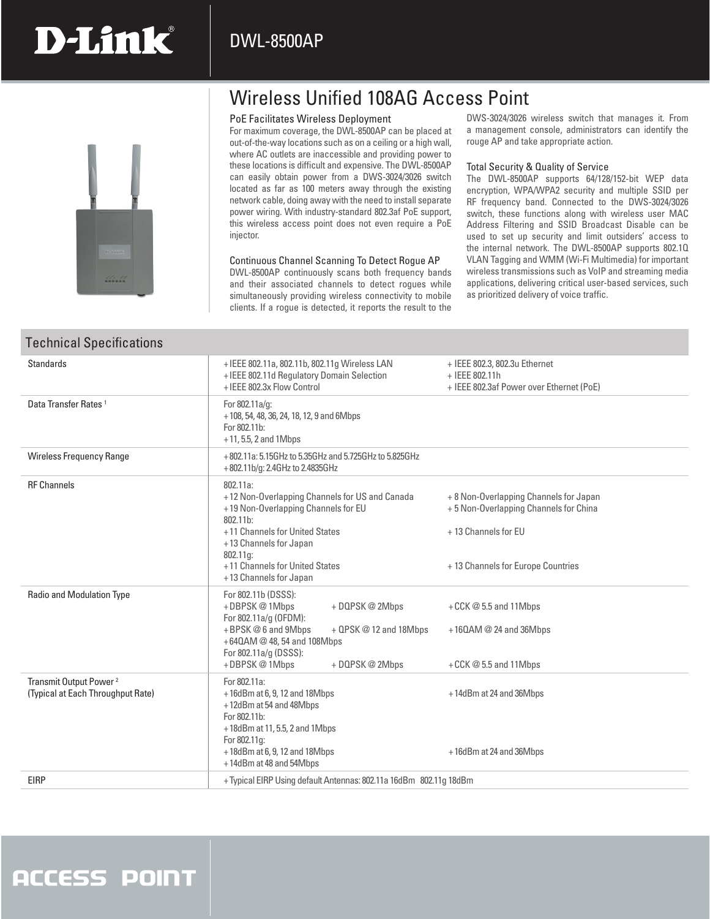# Wireless Unified 108AG Access Point

#### PoE Facilitates Wireless Deployment

For maximum coverage, the DWL-8500AP can be placed at out-of-the-way locations such as on a ceiling or a high wall, where AC outlets are inaccessible and providing power to these locations is difficult and expensive. The DWL-8500AP can easily obtain power from a DWS-3024/3026 switch located as far as 100 meters away through the existing network cable, doing away with the need to install separate power wiring. With industry-standard 802.3af PoE support, this wireless access point does not even require a PoE injector.

#### Continuous Channel Scanning To Detect Rogue AP

DWL-8500AP continuously scans both frequency bands and their associated channels to detect rogues while simultaneously providing wireless connectivity to mobile clients. If a rogue is detected, it reports the result to the DWS-3024/3026 wireless switch that manages it. From a management console, administrators can identify the rouge AP and take appropriate action.

#### Total Security & Quality of Service

The DWL-8500AP supports 64/128/152-bit WEP data encryption, WPA/WPA2 security and multiple SSID per RF frequency band. Connected to the DWS-3024/3026 switch, these functions along with wireless user MAC Address Filtering and SSID Broadcast Disable can be used to set up security and limit outsiders' access to the internal network. The DWL-8500AP supports 802.1Q VLAN Tagging and WMM (Wi-Fi Multimedia) for important wireless transmissions such as VoIP and streaming media applications, delivering critical user-based services, such as prioritized delivery of voice traffic.

| <b>Standards</b><br>+IEEE 802.11a, 802.11b, 802.11g Wireless LAN<br>+ IEEE 802.3, 802.3u Ethernet<br>+ IEEE 802.11d Regulatory Domain Selection<br>+ IEEE 802.11h<br>+ IEEE 802.3x Flow Control<br>+ IEEE 802.3af Power over Ethernet (PoE)<br>Data Transfer Rates <sup>1</sup><br>For 802.11a/g:<br>+108, 54, 48, 36, 24, 18, 12, 9 and 6Mbps<br>For 802.11b:<br>$+11, 5.5, 2$ and 1Mbps<br><b>Wireless Frequency Range</b><br>+802.11a: 5.15GHz to 5.35GHz and 5.725GHz to 5.825GHz<br>+802.11b/g: 2.4GHz to 2.4835GHz<br><b>RF Channels</b><br>802.11a:<br>+12 Non-Overlapping Channels for US and Canada<br>+ 8 Non-Overlapping Channels for Japan<br>+19 Non-Overlapping Channels for EU<br>+5 Non-Overlapping Channels for China<br>802.11b:<br>+11 Channels for United States<br>+13 Channels for EU<br>+13 Channels for Japan<br>$802.11a$ :<br>+11 Channels for United States<br>+ 13 Channels for Europe Countries<br>+13 Channels for Japan<br><b>Radio and Modulation Type</b><br>For 802.11b (DSSS):<br>+DBPSK@1Mbps<br>+ DQPSK @ 2Mbps<br>+ $CCK@5.5$ and 11Mbps<br>For 802.11a/g (OFDM):<br>+BPSK@6 and 9Mbps<br>+ QPSK @ 12 and 18Mbps<br>$+160$ AM @ 24 and 36Mbps<br>+640AM @ 48, 54 and 108Mbps<br>For 802.11a/g (DSSS):<br>+DBPSK@1Mbps<br>+ DQPSK @ 2Mbps<br>+ $CCK @ 5.5$ and 11 Mbps<br>Transmit Output Power <sup>2</sup><br>For 802.11a:<br>(Typical at Each Throughput Rate)<br>+16dBm at 6, 9, 12 and 18Mbps<br>+14dBm at 24 and 36Mbps<br>+12dBm at 54 and 48Mbps<br>For 802.11b:<br>+18dBm at 11, 5.5, 2 and 1Mbps<br>For 802.11g:<br>+18dBm at 6, 9, 12 and 18Mbps<br>+16dBm at 24 and 36Mbps<br>+14dBm at 48 and 54Mbps<br>EIRP<br>+Typical EIRP Using default Antennas: 802.11a 16dBm 802.11g 18dBm | Technical Specifications |  |  |  |  |
|-------------------------------------------------------------------------------------------------------------------------------------------------------------------------------------------------------------------------------------------------------------------------------------------------------------------------------------------------------------------------------------------------------------------------------------------------------------------------------------------------------------------------------------------------------------------------------------------------------------------------------------------------------------------------------------------------------------------------------------------------------------------------------------------------------------------------------------------------------------------------------------------------------------------------------------------------------------------------------------------------------------------------------------------------------------------------------------------------------------------------------------------------------------------------------------------------------------------------------------------------------------------------------------------------------------------------------------------------------------------------------------------------------------------------------------------------------------------------------------------------------------------------------------------------------------------------------------------------------------------------------------------------------------------------------------------------------------------------------------|--------------------------|--|--|--|--|
|                                                                                                                                                                                                                                                                                                                                                                                                                                                                                                                                                                                                                                                                                                                                                                                                                                                                                                                                                                                                                                                                                                                                                                                                                                                                                                                                                                                                                                                                                                                                                                                                                                                                                                                                     |                          |  |  |  |  |
|                                                                                                                                                                                                                                                                                                                                                                                                                                                                                                                                                                                                                                                                                                                                                                                                                                                                                                                                                                                                                                                                                                                                                                                                                                                                                                                                                                                                                                                                                                                                                                                                                                                                                                                                     |                          |  |  |  |  |
|                                                                                                                                                                                                                                                                                                                                                                                                                                                                                                                                                                                                                                                                                                                                                                                                                                                                                                                                                                                                                                                                                                                                                                                                                                                                                                                                                                                                                                                                                                                                                                                                                                                                                                                                     |                          |  |  |  |  |
|                                                                                                                                                                                                                                                                                                                                                                                                                                                                                                                                                                                                                                                                                                                                                                                                                                                                                                                                                                                                                                                                                                                                                                                                                                                                                                                                                                                                                                                                                                                                                                                                                                                                                                                                     |                          |  |  |  |  |
|                                                                                                                                                                                                                                                                                                                                                                                                                                                                                                                                                                                                                                                                                                                                                                                                                                                                                                                                                                                                                                                                                                                                                                                                                                                                                                                                                                                                                                                                                                                                                                                                                                                                                                                                     |                          |  |  |  |  |
|                                                                                                                                                                                                                                                                                                                                                                                                                                                                                                                                                                                                                                                                                                                                                                                                                                                                                                                                                                                                                                                                                                                                                                                                                                                                                                                                                                                                                                                                                                                                                                                                                                                                                                                                     |                          |  |  |  |  |
|                                                                                                                                                                                                                                                                                                                                                                                                                                                                                                                                                                                                                                                                                                                                                                                                                                                                                                                                                                                                                                                                                                                                                                                                                                                                                                                                                                                                                                                                                                                                                                                                                                                                                                                                     |                          |  |  |  |  |



#### Technical Specifications

# **ACCESS POINT**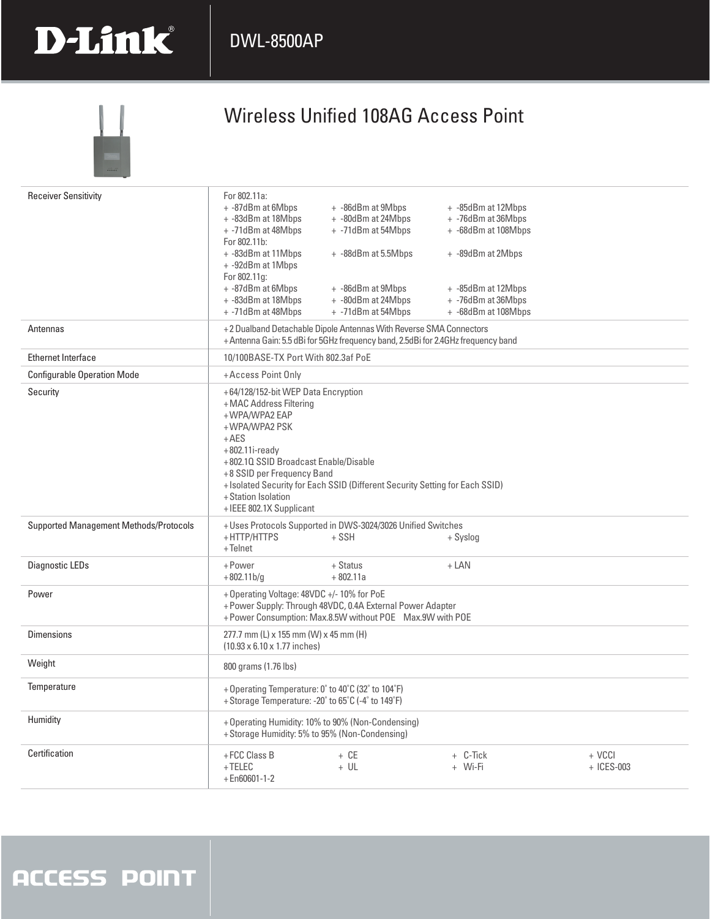## DWL-8500AP



| <b>Receiver Sensitivity</b>            | For 802.11a:<br>+ -87dBm at 6Mbps<br>+ -83dBm at 18Mbps<br>+ -71dBm at 48Mbps<br>For 802.11b:<br>+ -83dBm at 11Mbps<br>+ -92dBm at 1Mbps<br>For 802.11g:<br>+ -87dBm at 6Mbps<br>+ -83dBm at 18Mbps<br>+ -71dBm at 48Mbps                               | + -86dBm at 9Mbps<br>+ -80dBm at 24Mbps<br>+ -71dBm at 54Mbps<br>+ -88dBm at 5.5Mbps<br>+ -86dBm at 9Mbps<br>+ -80dBm at 24Mbps<br>+ -71dBm at 54Mbps | + -85dBm at 12Mbps<br>+ -76dBm at 36Mbps<br>+ -68dBm at 108Mbps<br>+ -89dBm at 2Mbps<br>+ -85dBm at 12Mbps<br>+ -76dBm at 36Mbps<br>+ -68dBm at 108Mbps |                      |
|----------------------------------------|---------------------------------------------------------------------------------------------------------------------------------------------------------------------------------------------------------------------------------------------------------|-------------------------------------------------------------------------------------------------------------------------------------------------------|---------------------------------------------------------------------------------------------------------------------------------------------------------|----------------------|
| Antennas                               | +2 Dualband Detachable Dipole Antennas With Reverse SMA Connectors<br>+ Antenna Gain: 5.5 dBi for 5GHz frequency band, 2.5dBi for 2.4GHz frequency band                                                                                                 |                                                                                                                                                       |                                                                                                                                                         |                      |
| <b>Ethernet Interface</b>              | 10/100BASE-TX Port With 802.3af PoE                                                                                                                                                                                                                     |                                                                                                                                                       |                                                                                                                                                         |                      |
| <b>Configurable Operation Mode</b>     | +Access Point Only                                                                                                                                                                                                                                      |                                                                                                                                                       |                                                                                                                                                         |                      |
| Security                               | +64/128/152-bit WEP Data Encryption<br>+MAC Address Filtering<br>+WPA/WPA2 EAP<br>+WPA/WPA2 PSK<br>$+AES$<br>$+802.11i$ -ready<br>+802.10 SSID Broadcast Enable/Disable<br>+8 SSID per Frequency Band<br>+ Station Isolation<br>+IEEE 802.1X Supplicant | + Isolated Security for Each SSID (Different Security Setting for Each SSID)                                                                          |                                                                                                                                                         |                      |
| Supported Management Methods/Protocols | +HTTP/HTTPS<br>+Telnet                                                                                                                                                                                                                                  | + Uses Protocols Supported in DWS-3024/3026 Unified Switches<br>$+$ SSH                                                                               | + Syslog                                                                                                                                                |                      |
| Diagnostic LEDs                        | +Power<br>$+802.11 b/g$                                                                                                                                                                                                                                 | + Status<br>$+802.11a$                                                                                                                                | $+$ LAN                                                                                                                                                 |                      |
| Power                                  | + Operating Voltage: 48VDC +/- 10% for PoE<br>+ Power Supply: Through 48VDC, 0.4A External Power Adapter<br>+ Power Consumption: Max.8.5W without POE Max.9W with POE                                                                                   |                                                                                                                                                       |                                                                                                                                                         |                      |
| <b>Dimensions</b>                      | 277.7 mm (L) x 155 mm (W) x 45 mm (H)<br>(10.93 x 6.10 x 1.77 inches)                                                                                                                                                                                   |                                                                                                                                                       |                                                                                                                                                         |                      |
| Weight                                 | 800 grams (1.76 lbs)                                                                                                                                                                                                                                    |                                                                                                                                                       |                                                                                                                                                         |                      |
| Temperature                            | + Operating Temperature: 0° to 40°C (32° to 104°F)<br>+ Storage Temperature: -20° to 65°C (-4° to 149°F)                                                                                                                                                |                                                                                                                                                       |                                                                                                                                                         |                      |
| Humidity                               | + Storage Humidity: 5% to 95% (Non-Condensing)                                                                                                                                                                                                          | + Operating Humidity: 10% to 90% (Non-Condensing)                                                                                                     |                                                                                                                                                         |                      |
| Certification                          | $+$ FCC Class B<br>$+TELEC$<br>$+En60601-1-2$                                                                                                                                                                                                           | $+ CE$<br>$+ UL$                                                                                                                                      | + C-Tick<br>+ Wi-Fi                                                                                                                                     | + VCCI<br>+ ICES-003 |

# **ACCESS POINT**

D-Link